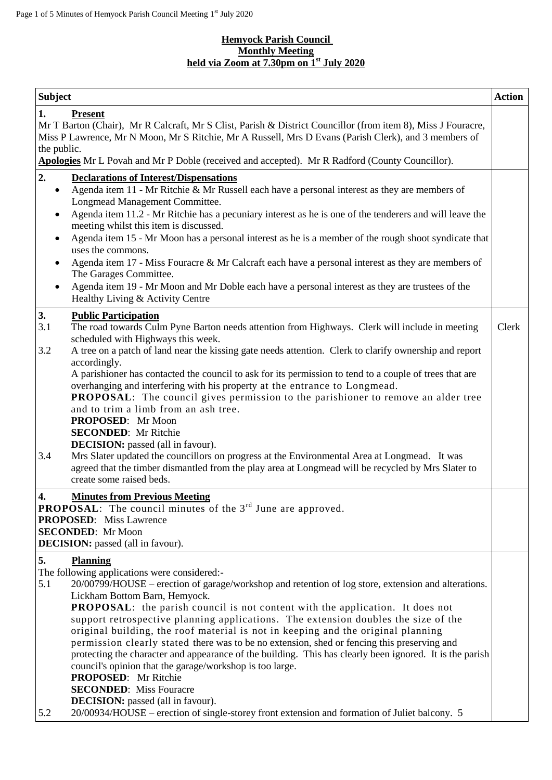#### **Hemyock Parish Council Monthly Meeting held via Zoom at 7.30pm on 1 st July 2020**

| <b>Subject</b>                                                                                                                                                                                                               |                                                                                                                                                                                                                                                                                                                                                                                                                                                                                                                                                                                                                                                                                                                                                                                                                                                                                                                                                         | <b>Action</b> |
|------------------------------------------------------------------------------------------------------------------------------------------------------------------------------------------------------------------------------|---------------------------------------------------------------------------------------------------------------------------------------------------------------------------------------------------------------------------------------------------------------------------------------------------------------------------------------------------------------------------------------------------------------------------------------------------------------------------------------------------------------------------------------------------------------------------------------------------------------------------------------------------------------------------------------------------------------------------------------------------------------------------------------------------------------------------------------------------------------------------------------------------------------------------------------------------------|---------------|
| 1.<br>the public.                                                                                                                                                                                                            | <b>Present</b><br>Mr T Barton (Chair), Mr R Calcraft, Mr S Clist, Parish & District Councillor (from item 8), Miss J Fouracre,<br>Miss P Lawrence, Mr N Moon, Mr S Ritchie, Mr A Russell, Mrs D Evans (Parish Clerk), and 3 members of<br>Apologies Mr L Povah and Mr P Doble (received and accepted). Mr R Radford (County Councillor).                                                                                                                                                                                                                                                                                                                                                                                                                                                                                                                                                                                                                |               |
| 2.                                                                                                                                                                                                                           | <b>Declarations of Interest/Dispensations</b>                                                                                                                                                                                                                                                                                                                                                                                                                                                                                                                                                                                                                                                                                                                                                                                                                                                                                                           |               |
| $\bullet$<br>$\bullet$<br>$\bullet$<br>٠<br>$\bullet$                                                                                                                                                                        | Agenda item 11 - Mr Ritchie & Mr Russell each have a personal interest as they are members of<br>Longmead Management Committee.<br>Agenda item 11.2 - Mr Ritchie has a pecuniary interest as he is one of the tenderers and will leave the<br>meeting whilst this item is discussed.<br>Agenda item 15 - Mr Moon has a personal interest as he is a member of the rough shoot syndicate that<br>uses the commons.<br>Agenda item 17 - Miss Fouracre & Mr Calcraft each have a personal interest as they are members of<br>The Garages Committee.<br>Agenda item 19 - Mr Moon and Mr Doble each have a personal interest as they are trustees of the<br>Healthy Living & Activity Centre                                                                                                                                                                                                                                                                 |               |
| 3.<br>3.1<br>3.2                                                                                                                                                                                                             | <b>Public Participation</b><br>The road towards Culm Pyne Barton needs attention from Highways. Clerk will include in meeting<br>scheduled with Highways this week.<br>A tree on a patch of land near the kissing gate needs attention. Clerk to clarify ownership and report                                                                                                                                                                                                                                                                                                                                                                                                                                                                                                                                                                                                                                                                           | Clerk         |
|                                                                                                                                                                                                                              | accordingly.<br>A parishioner has contacted the council to ask for its permission to tend to a couple of trees that are<br>overhanging and interfering with his property at the entrance to Longmead.<br><b>PROPOSAL:</b> The council gives permission to the parishioner to remove an alder tree<br>and to trim a limb from an ash tree.<br>PROPOSED: Mr Moon<br><b>SECONDED:</b> Mr Ritchie<br><b>DECISION:</b> passed (all in favour).                                                                                                                                                                                                                                                                                                                                                                                                                                                                                                               |               |
| 3.4                                                                                                                                                                                                                          | Mrs Slater updated the councillors on progress at the Environmental Area at Longmead. It was<br>agreed that the timber dismantled from the play area at Longmead will be recycled by Mrs Slater to<br>create some raised beds.                                                                                                                                                                                                                                                                                                                                                                                                                                                                                                                                                                                                                                                                                                                          |               |
| 4.<br><b>Minutes from Previous Meeting</b><br><b>PROPOSAL:</b> The council minutes of the $3rd$ June are approved.<br><b>PROPOSED:</b> Miss Lawrence<br><b>SECONDED:</b> Mr Moon<br><b>DECISION:</b> passed (all in favour). |                                                                                                                                                                                                                                                                                                                                                                                                                                                                                                                                                                                                                                                                                                                                                                                                                                                                                                                                                         |               |
| 5.<br>5.1<br>5.2                                                                                                                                                                                                             | <b>Planning</b><br>The following applications were considered:-<br>20/00799/HOUSE – erection of garage/workshop and retention of log store, extension and alterations.<br>Lickham Bottom Barn, Hemyock.<br>PROPOSAL: the parish council is not content with the application. It does not<br>support retrospective planning applications. The extension doubles the size of the<br>original building, the roof material is not in keeping and the original planning<br>permission clearly stated there was to be no extension, shed or fencing this preserving and<br>protecting the character and appearance of the building. This has clearly been ignored. It is the parish<br>council's opinion that the garage/workshop is too large.<br><b>PROPOSED:</b> Mr Ritchie<br><b>SECONDED:</b> Miss Fouracre<br><b>DECISION:</b> passed (all in favour).<br>20/00934/HOUSE – erection of single-storey front extension and formation of Juliet balcony. 5 |               |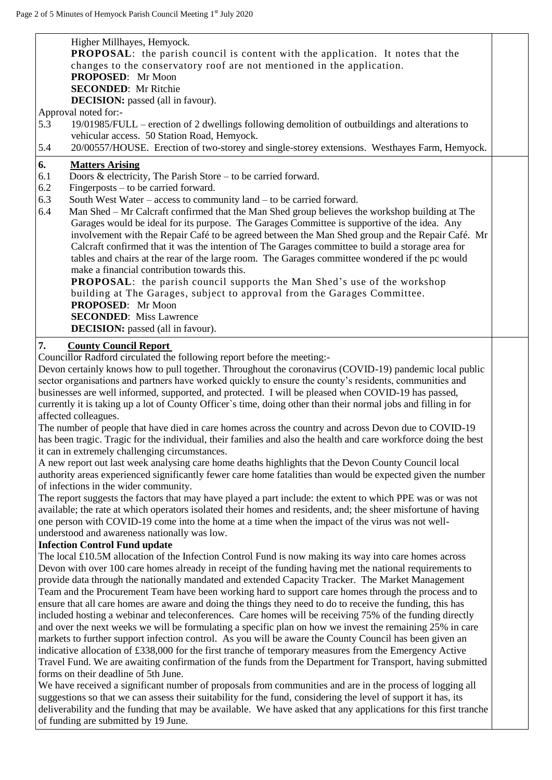| Higher Millhayes, Hemyock.<br><b>PROPOSAL:</b> the parish council is content with the application. It notes that the<br>changes to the conservatory roof are not mentioned in the application.<br>PROPOSED: Mr Moon<br><b>SECONDED:</b> Mr Ritchie<br><b>DECISION:</b> passed (all in favour).<br>Approval noted for:-<br>19/01985/FULL – erection of 2 dwellings following demolition of outbuildings and alterations to<br>5.3<br>vehicular access. 50 Station Road, Hemyock.<br>20/00557/HOUSE. Erection of two-storey and single-storey extensions. Westhayes Farm, Hemyock.<br>5.4                                                                                                                                                                                                                                                                                                                                                                                                                                                                                                                                               |  |
|---------------------------------------------------------------------------------------------------------------------------------------------------------------------------------------------------------------------------------------------------------------------------------------------------------------------------------------------------------------------------------------------------------------------------------------------------------------------------------------------------------------------------------------------------------------------------------------------------------------------------------------------------------------------------------------------------------------------------------------------------------------------------------------------------------------------------------------------------------------------------------------------------------------------------------------------------------------------------------------------------------------------------------------------------------------------------------------------------------------------------------------|--|
| 6.<br><b>Matters Arising</b><br>Doors & electricity, The Parish Store $-$ to be carried forward.<br>6.1<br>6.2<br>Fingerposts – to be carried forward.<br>6.3<br>South West Water – access to community land – to be carried forward.<br>6.4<br>Man Shed – Mr Calcraft confirmed that the Man Shed group believes the workshop building at The<br>Garages would be ideal for its purpose. The Garages Committee is supportive of the idea. Any<br>involvement with the Repair Café to be agreed between the Man Shed group and the Repair Café. Mr<br>Calcraft confirmed that it was the intention of The Garages committee to build a storage area for<br>tables and chairs at the rear of the large room. The Garages committee wondered if the pc would<br>make a financial contribution towards this.<br><b>PROPOSAL:</b> the parish council supports the Man Shed's use of the workshop<br>building at The Garages, subject to approval from the Garages Committee.<br>PROPOSED: Mr Moon<br><b>SECONDED:</b> Miss Lawrence<br><b>DECISION:</b> passed (all in favour).                                                           |  |
| 7.<br><b>County Council Report</b><br>Councillor Radford circulated the following report before the meeting:-<br>Devon certainly knows how to pull together. Throughout the coronavirus (COVID-19) pandemic local public<br>sector organisations and partners have worked quickly to ensure the county's residents, communities and<br>businesses are well informed, supported, and protected. I will be pleased when COVID-19 has passed,<br>currently it is taking up a lot of County Officer's time, doing other than their normal jobs and filling in for<br>affected colleagues.<br>The number of people that have died in care homes across the country and across Devon due to COVID-19<br>has been tragic. Tragic for the individual, their families and also the health and care workforce doing the best<br>it can in extremely challenging circumstances.<br>A new report out last week analysing care home deaths highlights that the Devon County Council local<br>authority areas experienced significantly fewer care home fatalities than would be expected given the number<br>of infections in the wider community. |  |

The report suggests the factors that may have played a part include: the extent to which PPE was or was not available; the rate at which operators isolated their homes and residents, and; the sheer misfortune of having one person with COVID-19 come into the home at a time when the impact of the virus was not wellunderstood and awareness nationally was low.

## **Infection Control Fund update**

The local £10.5M allocation of the Infection Control Fund is now making its way into care homes across Devon with over 100 care homes already in receipt of the funding having met the national requirements to provide data through the nationally mandated and extended Capacity Tracker. The Market Management Team and the Procurement Team have been working hard to support care homes through the process and to ensure that all care homes are aware and doing the things they need to do to receive the funding, this has included hosting a webinar and teleconferences. Care homes will be receiving 75% of the funding directly and over the next weeks we will be formulating a specific plan on how we invest the remaining 25% in care markets to further support infection control. As you will be aware the County Council has been given an indicative allocation of £338,000 for the first tranche of temporary measures from the Emergency Active Travel Fund. We are awaiting confirmation of the funds from the Department for Transport, having submitted forms on their deadline of 5th June.

We have received a significant number of proposals from communities and are in the process of logging all suggestions so that we can assess their suitability for the fund, considering the level of support it has, its deliverability and the funding that may be available. We have asked that any applications for this first tranche of funding are submitted by 19 June.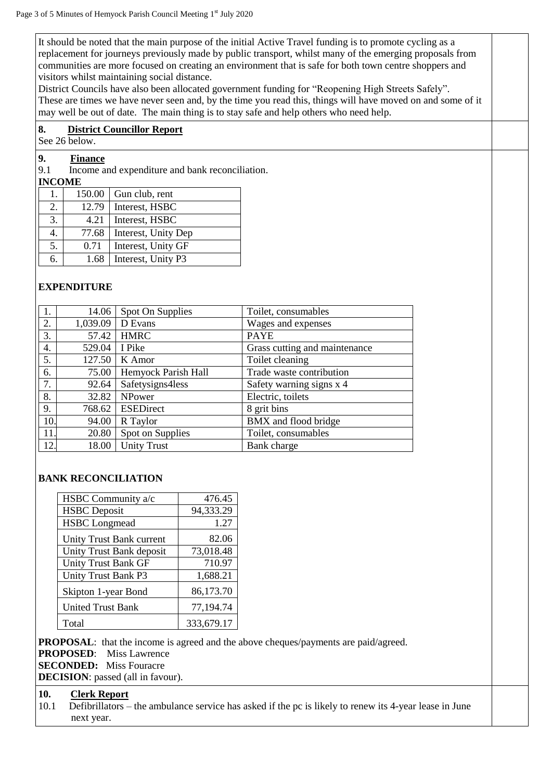It should be noted that the main purpose of the initial Active Travel funding is to promote cycling as a replacement for journeys previously made by public transport, whilst many of the emerging proposals from communities are more focused on creating an environment that is safe for both town centre shoppers and visitors whilst maintaining social distance.

District Councils have also been allocated government funding for "Reopening High Streets Safely". These are times we have never seen and, by the time you read this, things will have moved on and some of it may well be out of date. The main thing is to stay safe and help others who need help.

## **8. District Councillor Report**

See 26 below.

# **9.1 Finance**<br>**9.1 Income a**

Income and expenditure and bank reconciliation.

## **INCOME**

| Ι. | 150.00 | Gun club, rent      |
|----|--------|---------------------|
| 2. | 12.79  | Interest, HSBC      |
| 3. | 4.21   | Interest, HSBC      |
|    | 77.68  | Interest, Unity Dep |
| 5. | 0.71   | Interest, Unity GF  |
|    | 1.68   | Interest, Unity P3  |

## **EXPENDITURE**

| 1.  | 14.06    | Spot On Supplies    | Toilet, consumables           |
|-----|----------|---------------------|-------------------------------|
| 2.  | 1,039.09 | D Evans             | Wages and expenses            |
| 3.  | 57.42    | <b>HMRC</b>         | <b>PAYE</b>                   |
| 4.  | 529.04   | I Pike              | Grass cutting and maintenance |
| 5.  | 127.50   | K Amor              | Toilet cleaning               |
| 6.  | 75.00    | Hemyock Parish Hall | Trade waste contribution      |
| 7.  | 92.64    | Safetysigns4less    | Safety warning signs x 4      |
| 8.  | 32.82    | NPower              | Electric, toilets             |
| 9.  | 768.62   | <b>ESEDirect</b>    | 8 grit bins                   |
| 10. | 94.00    | R Taylor            | BMX and flood bridge          |
| 11. | 20.80    | Spot on Supplies    | Toilet, consumables           |
| 12. | 18.00    | <b>Unity Trust</b>  | Bank charge                   |

## **BANK RECONCILIATION**

| HSBC Community a/c         | 476.45     |
|----------------------------|------------|
| <b>HSBC</b> Deposit        | 94,333.29  |
| <b>HSBC</b> Longmead       | 1.27       |
| Unity Trust Bank current   | 82.06      |
| Unity Trust Bank deposit   | 73,018.48  |
| <b>Unity Trust Bank GF</b> | 710.97     |
| <b>Unity Trust Bank P3</b> | 1,688.21   |
| Skipton 1-year Bond        | 86,173.70  |
| <b>United Trust Bank</b>   | 77,194.74  |
| Total                      | 333,679.17 |

**PROPOSAL:** that the income is agreed and the above cheques/payments are paid/agreed.

**PROPOSED**: Miss Lawrence

**SECONDED:** Miss Fouracre

**DECISION**: passed (all in favour).

## **10. Clerk Report**

Defibrillators – the ambulance service has asked if the pc is likely to renew its 4-year lease in June next year.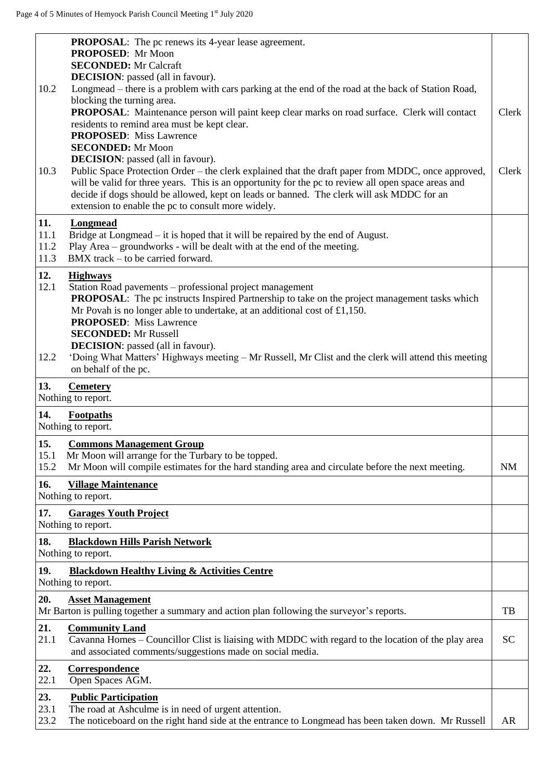|              | <b>PROPOSAL:</b> The pc renews its 4-year lease agreement.                                                                                                                                                |           |
|--------------|-----------------------------------------------------------------------------------------------------------------------------------------------------------------------------------------------------------|-----------|
|              | PROPOSED: Mr Moon<br><b>SECONDED:</b> Mr Calcraft                                                                                                                                                         |           |
|              | <b>DECISION</b> : passed (all in favour).                                                                                                                                                                 |           |
| 10.2         | Longmead – there is a problem with cars parking at the end of the road at the back of Station Road,                                                                                                       |           |
|              | blocking the turning area.                                                                                                                                                                                |           |
|              | PROPOSAL: Maintenance person will paint keep clear marks on road surface. Clerk will contact<br>residents to remind area must be kept clear.                                                              | Clerk     |
|              | <b>PROPOSED:</b> Miss Lawrence                                                                                                                                                                            |           |
|              | <b>SECONDED:</b> Mr Moon                                                                                                                                                                                  |           |
|              | <b>DECISION</b> : passed (all in favour).                                                                                                                                                                 |           |
| 10.3         | Public Space Protection Order – the clerk explained that the draft paper from MDDC, once approved,<br>will be valid for three years. This is an opportunity for the pc to review all open space areas and | Clerk     |
|              | decide if dogs should be allowed, kept on leads or banned. The clerk will ask MDDC for an                                                                                                                 |           |
|              | extension to enable the pc to consult more widely.                                                                                                                                                        |           |
| 11.          | <b>Longmead</b>                                                                                                                                                                                           |           |
| 11.1         | Bridge at Longmead – it is hoped that it will be repaired by the end of August.                                                                                                                           |           |
| 11.2         | Play Area – groundworks - will be dealt with at the end of the meeting.                                                                                                                                   |           |
| 11.3         | BMX track – to be carried forward.                                                                                                                                                                        |           |
| 12.          | <b>Highways</b>                                                                                                                                                                                           |           |
| 12.1         | Station Road pavements - professional project management                                                                                                                                                  |           |
|              | <b>PROPOSAL:</b> The pc instructs Inspired Partnership to take on the project management tasks which<br>Mr Povah is no longer able to undertake, at an additional cost of $£1,150.$                       |           |
|              | <b>PROPOSED:</b> Miss Lawrence                                                                                                                                                                            |           |
|              | <b>SECONDED:</b> Mr Russell                                                                                                                                                                               |           |
|              | <b>DECISION</b> : passed (all in favour).                                                                                                                                                                 |           |
| 12.2         | 'Doing What Matters' Highways meeting – Mr Russell, Mr Clist and the clerk will attend this meeting<br>on behalf of the pc.                                                                               |           |
|              |                                                                                                                                                                                                           |           |
| 13.          | <b>Cemetery</b><br>Nothing to report.                                                                                                                                                                     |           |
| 14.          | Footpaths                                                                                                                                                                                                 |           |
|              | Nothing to report.                                                                                                                                                                                        |           |
| 15.          | <b>Commons Management Group</b>                                                                                                                                                                           |           |
| 15.1         | Mr Moon will arrange for the Turbary to be topped.                                                                                                                                                        |           |
| 15.2         | Mr Moon will compile estimates for the hard standing area and circulate before the next meeting.                                                                                                          | <b>NM</b> |
| 16.          | <b>Village Maintenance</b>                                                                                                                                                                                |           |
|              | Nothing to report.                                                                                                                                                                                        |           |
| 17.          | <b>Garages Youth Project</b>                                                                                                                                                                              |           |
|              | Nothing to report.                                                                                                                                                                                        |           |
| 18.          | <b>Blackdown Hills Parish Network</b>                                                                                                                                                                     |           |
|              | Nothing to report.                                                                                                                                                                                        |           |
|              |                                                                                                                                                                                                           |           |
| 19.          | <b>Blackdown Healthy Living &amp; Activities Centre</b>                                                                                                                                                   |           |
|              | Nothing to report.                                                                                                                                                                                        |           |
| 20.          | <b>Asset Management</b><br>Mr Barton is pulling together a summary and action plan following the surveyor's reports.                                                                                      | TB        |
| 21.          | <b>Community Land</b>                                                                                                                                                                                     |           |
| 21.1         | Cavanna Homes – Councillor Clist is liaising with MDDC with regard to the location of the play area<br>and associated comments/suggestions made on social media.                                          | <b>SC</b> |
| 22.          | Correspondence                                                                                                                                                                                            |           |
| 22.1         | Open Spaces AGM.                                                                                                                                                                                          |           |
| 23.          | <b>Public Participation</b>                                                                                                                                                                               |           |
| 23.1<br>23.2 | The road at Ashculme is in need of urgent attention.<br>The noticeboard on the right hand side at the entrance to Longmead has been taken down. Mr Russell                                                | AR        |